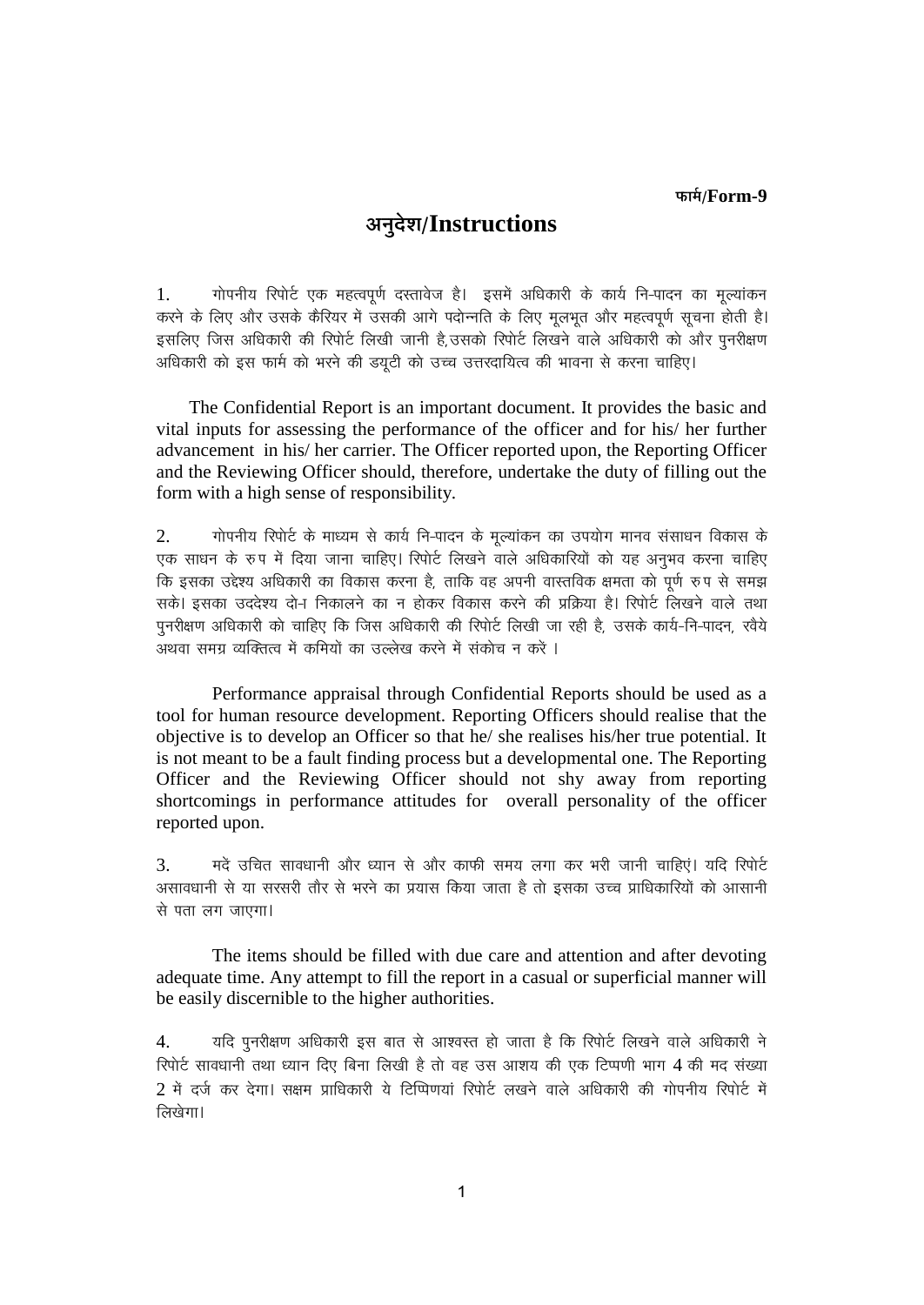## अनुदेश/Instructions

गोपनीय रिपोर्ट एक महत्वपूर्ण दस्तावेज है। इसमें अधिकारी के कार्य नि-पादन का मूल्यांकन  $1.$ .<br>करने के लिए और उसके कैरियर में उसकी आगे पदोन्नति के लिए मृलभृत और महत्वपूर्ण सूचना होती है। इसलिए जिस अधिकारी की रिपोर्ट लिखी जानी है, उसको रिपोर्ट लिखने वाले अधिकारी को और पुनरीक्षण अधिकारी को इस फार्म को भरने की डयूटी को उच्च उत्तरदायित्व की भावना से करना चाहिए।

The Confidential Report is an important document. It provides the basic and vital inputs for assessing the performance of the officer and for his/ her further advancement in his/her carrier. The Officer reported upon, the Reporting Officer and the Reviewing Officer should, therefore, undertake the duty of filling out the form with a high sense of responsibility.

 $\overline{2}$ . गोपनीय रिपोर्ट के माध्यम से कार्य नि-पादन के मूल्यांकन का उपयोग मानव संसाधन विकास के एक साधन के रूप में दिया जाना चाहिए। रिपोर्ट लिखने वाले अधिकारियों को यह अनुभव करना चाहिए कि इसका उद्देश्य अधिकारी का विकास करना है, ताकि वह अपनी वास्तविक क्षमता को पूर्ण रुप से समझ सके। इसका उददेश्य दोन निकालने का न होकर विकास करने की प्रक्रिया है। रिपोर्ट लिखने वाले तथा पुनरीक्षण अधिकारी को चाहिए कि जिस अधिकारी की रिपोर्ट लिखी जा रही है, उसके कार्य-नि-पादन, रवैये अथवा समग्र व्यक्तित्व में कमियों का उल्लेख करने में संकोच न करें ।

Performance appraisal through Confidential Reports should be used as a tool for human resource development. Reporting Officers should realise that the objective is to develop an Officer so that he/ she realises his/her true potential. It is not meant to be a fault finding process but a developmental one. The Reporting Officer and the Reviewing Officer should not shy away from reporting shortcomings in performance attitudes for overall personality of the officer reported upon.

मदें उचित सावधानी और ध्यान से और काफी समय लगा कर भरी जानी चाहिएं। यदि रिपोर्ट  $\mathcal{E}$ असावधानी से या सरसरी तौर से भरने का प्रयास किया जाता है तो इसका उच्च प्राधिकारियों को आसानी से पता लग जाएगा।

The items should be filled with due care and attention and after devoting adequate time. Any attempt to fill the report in a casual or superficial manner will be easily discernible to the higher authorities.

यदि पुनरीक्षण अधिकारी इस बात से आश्वरत हो जाता है कि रिपोर्ट लिखने वाले अधिकारी ने  $\overline{4}$ . रिपोर्ट सावधानी तथा ध्यान दिए बिना लिखी है तो वह उस आशय की एक टिप्पणी भाग 4 की मद संख्या 2 में दर्ज कर देगा। सक्षम प्राधिकारी ये टिप्पिणयां रिपोर्ट लखने वाले अधिकारी की गोपनीय रिपोर्ट में लिखेगा।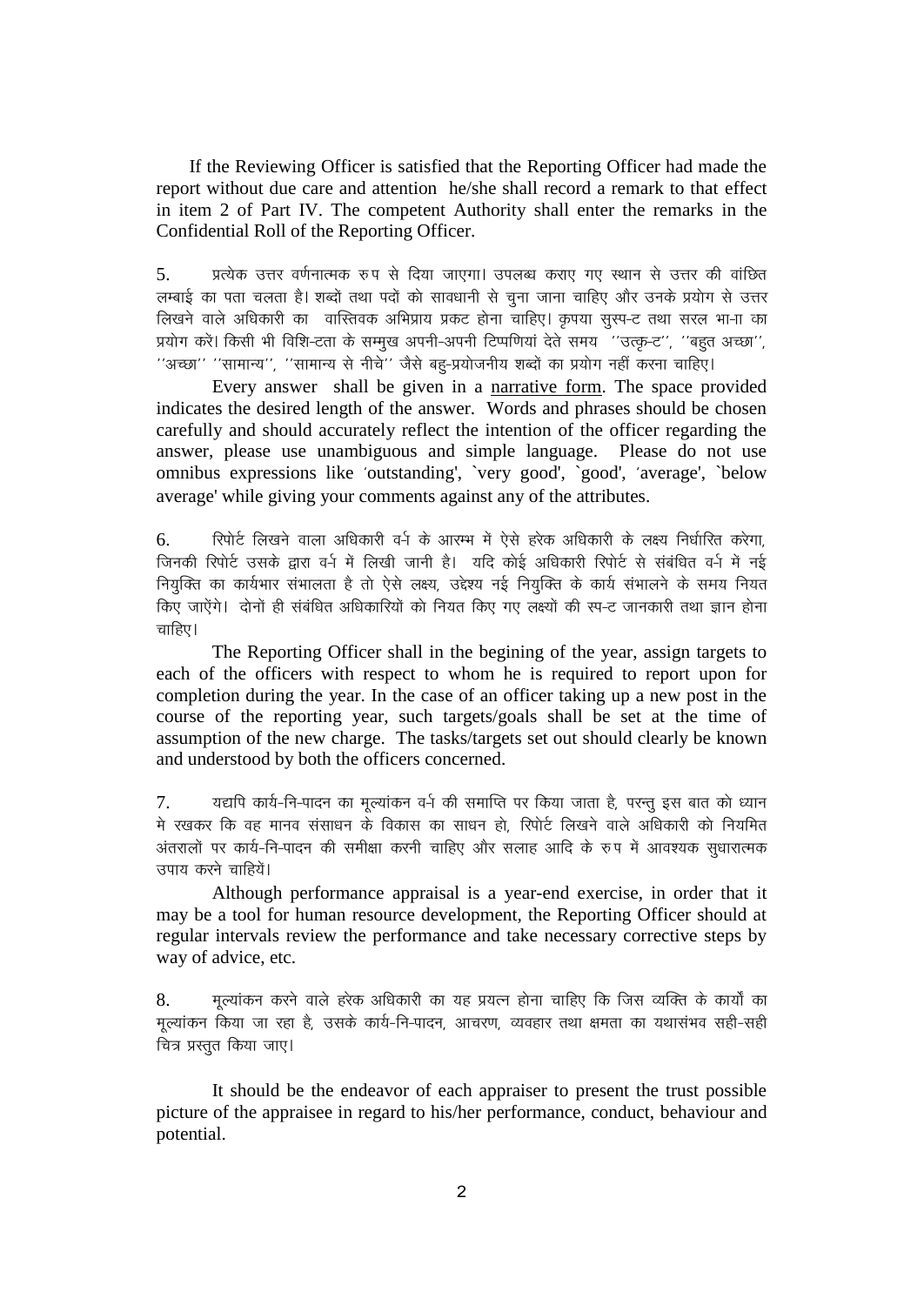If the Reviewing Officer is satisfied that the Reporting Officer had made the report without due care and attention he/she shall record a remark to that effect in item 2 of Part IV. The competent Authority shall enter the remarks in the Confidential Roll of the Reporting Officer.

प्रत्येक उत्तर वर्णनात्मक रुप से दिया जाएगा। उपलब्ध कराए गए स्थान से उत्तर की वांछित  $5<sub>1</sub>$ लम्बाई का पता चलता है। शब्दों तथा पदों को सावधानी से चूना जाना चाहिए और उनके प्रयोग से उत्तर लिखने वाले अधिकारी का वास्तिवक अभिप्राय प्रकट होना चाहिए। कृपया सुस्प-ट तथा सरल भा-ाा का प्रयोग करें। किसी भी विशि-टता के सम्मुख अपनी-अपनी टिप्पणियां देते समय ''उत्कृ-ट'', ''बहुत अच्छा'', ''अच्छा'' ''सामान्य'', ''सामान्य से नीचे'' जैसे बहु-प्रयोजनीय शब्दों का प्रयोग नहीं करना चाहिए।

Every answer shall be given in a narrative form. The space provided indicates the desired length of the answer. Words and phrases should be chosen carefully and should accurately reflect the intention of the officer regarding the answer, please use unambiguous and simple language. Please do not use omnibus expressions like 'outstanding', 'very good', 'good', 'average', 'below average' while giving your comments against any of the attributes.

रिपोर्ट लिखने वाला अधिकारी वर्-ा के आरम्भ में ऐसे हरेक अधिकारी के लक्ष्य निर्धारित करेगा. 6. जिनकी रिपोर्ट उसके द्वारा वर्न में लिखी जानी है। यदि कोई अधिकारी रिपोर्ट से संबंधित वर्न में नई नियुक्ति का कार्यभार संभालता है तो ऐसे लक्ष्य, उद्देश्य नई नियुक्ति के कार्य संभालने के समय नियंत किए जाऐंगे। दोनों ही संबंधित अधिकारियों को नियत किए गए लक्ष्यों की स्प-ट जानकारी तथा ज्ञान होना चाहिए।

The Reporting Officer shall in the begining of the year, assign targets to each of the officers with respect to whom he is required to report upon for completion during the year. In the case of an officer taking up a new post in the course of the reporting year, such targets/goals shall be set at the time of assumption of the new charge. The tasks/targets set out should clearly be known and understood by both the officers concerned.

यद्यपि कार्य-नि-पादन का मूल्यांकन व-ी की समाप्ति पर किया जाता है, परन्तु इस बात को ध्यान 7. मे रखकर कि वह मानव संसाधन के विकास का साधन हो. रिपोर्ट लिखने वाले अधिकारी को नियमित अंतरालों पर कार्य-नि-पादन की समीक्षा करनी चाहिए और सलाह आदि के रुप में आवश्यक सुधारात्मक उपाय करने चाहियें।

Although performance appraisal is a year-end exercise, in order that it may be a tool for human resource development, the Reporting Officer should at regular intervals review the performance and take necessary corrective steps by way of advice, etc.

मुल्यांकन करने वाले हरेक अधिकारी का यह प्रयत्न होना चाहिए कि जिस व्यक्ति के कार्यों का 8. मूल्यांकन किया जा रहा है, उसके कार्य-नि-पादन, आचरण, व्यवहार तथा क्षमता का यथासंभव सही-सही चित्र प्रस्तुत किया जाए।

It should be the endeavor of each appraiser to present the trust possible picture of the appraisee in regard to his/her performance, conduct, behaviour and potential.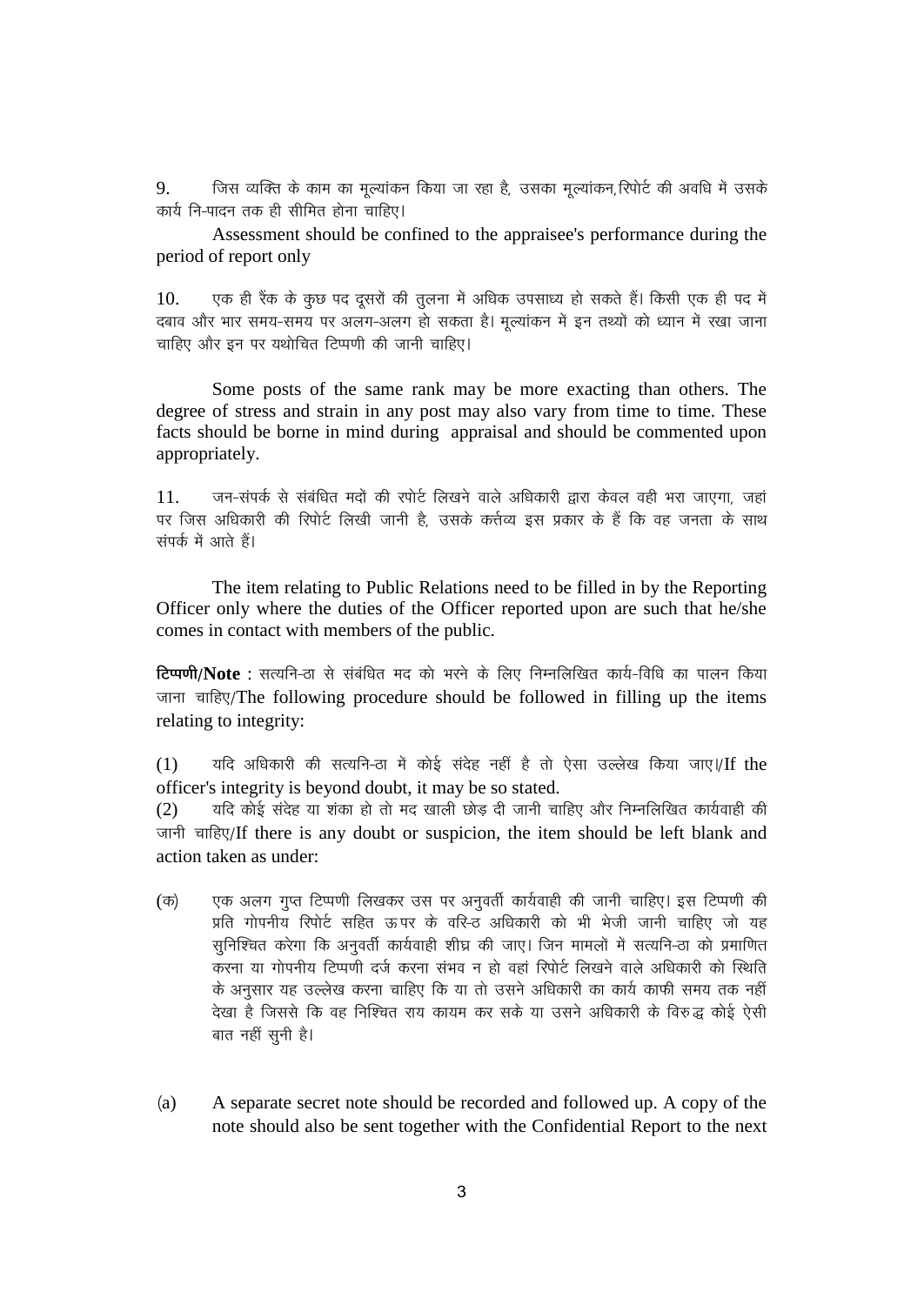जिस व्यक्ति के काम का मूल्यांकन किया जा रहा है, उसका मूल्यांकन, रिपोर्ट की अवधि में उसके 9. कार्य नि-पादन तक ही सीमित होना चाहिए।

Assessment should be confined to the appraisee's performance during the period of report only

एक ही रैंक के कुछ पद दुसरों की तुलना में अधिक उपसाध्य हो सकते हैं। किसी एक ही पद में  $10<sub>l</sub>$ दबाव और भार समय-समय पर अलग-अलग हो सकता है। मुल्यांकन में इन तथ्यों को ध्यान में रखा जाना चाहिए और इन पर यथोचित टिप्पणी की जानी चाहिए।

Some posts of the same rank may be more exacting than others. The degree of stress and strain in any post may also vary from time to time. These facts should be borne in mind during appraisal and should be commented upon appropriately.

जन-संपर्क से संबंधित मदों की रपोर्ट लिखने वाले अधिकारी द्वारा केवल वही भरा जाएगा, जहां  $11.$ पर जिस अधिकारी की रिपोर्ट लिखी जानी है. उसके कर्त्तव्य इस प्रकार के हैं कि वह जनता के साथ संपर्क में आते हैं।

The item relating to Public Relations need to be filled in by the Reporting Officer only where the duties of the Officer reported upon are such that he/she comes in contact with members of the public.

टिप्पणी/Note : सत्यनि-ठा से संबंधित मद को भरने के लिए निम्नलिखित कार्य-विधि का पालन किया जाना चाहिए/The following procedure should be followed in filling up the items relating to integrity:

यदि अधिकारी की सत्यनि-ठा में कोई संदेह नहीं है तो ऐसा उल्लेख किया जाए।/If the  $(1)$ officer's integrity is beyond doubt, it may be so stated.

यदि कोई संदेह या शंका हो तो मद खाली छोड़ दी जानी चाहिए और निम्नलिखित कार्यवाही की  $(2)$ जानी चाहिए/If there is any doubt or suspicion, the item should be left blank and action taken as under:

- एक अलग गुप्त टिप्पणी लिखकर उस पर अनुवर्ती कार्यवाही की जानी चाहिए। इस टिप्पणी की  $(\overline{\sigma})$ प्रति गोपनीय रिपोर्ट सहित ऊपर के वरि-ठ अधिकारी को भी भेजी जानी चाहिए जो यह सुनिश्चित करेगा कि अनुवर्ती कार्यवाही शीघ्र की जाए। जिन मामलों में सत्यनि-ठा को प्रमाणित करना या गोपनीय टिप्पणी दर्ज करना संभव न हो वहां रिपोर्ट लिखने वाले अधिकारी को स्थिति के अनुसार यह उल्लेख करना चाहिए कि या तो उसने अधिकारी का कार्य काफी समय तक नहीं देखा है जिससे कि वह निश्चित राय कायम कर सके या उसने अधिकारी के विरुद्ध कोई ऐसी बात नहीं सुनी है।
- A separate secret note should be recorded and followed up. A copy of the  $(a)$ note should also be sent together with the Confidential Report to the next